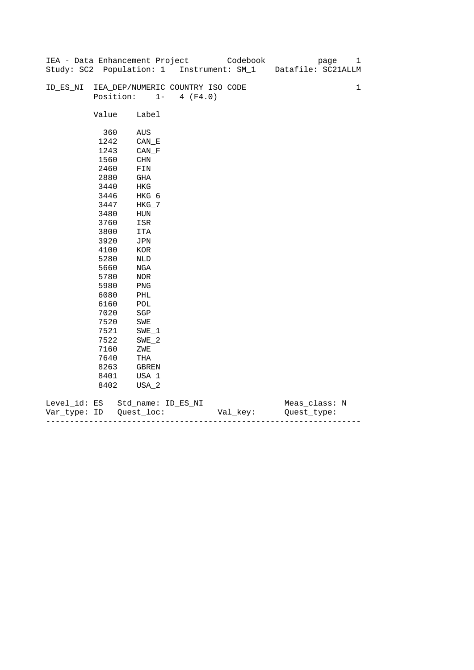|              |       | IEA - Data Enhancement Project            |                   | Codebook | page               | 1           |
|--------------|-------|-------------------------------------------|-------------------|----------|--------------------|-------------|
|              |       | Study: SC2 Population: 1 Instrument: SM_1 |                   |          | Datafile: SC21ALLM |             |
|              |       |                                           |                   |          |                    |             |
| ID_ES_NI     |       | IEA_DEP/NUMERIC COUNTRY ISO CODE          |                   |          |                    | $\mathbf 1$ |
|              |       | Position:                                 | $1 -$<br>4 (F4.0) |          |                    |             |
|              |       |                                           |                   |          |                    |             |
|              | Value | Label                                     |                   |          |                    |             |
|              |       |                                           |                   |          |                    |             |
|              | 360   | AUS                                       |                   |          |                    |             |
|              | 1242  | $CAN$ <sub><math>E</math></sub>           |                   |          |                    |             |
|              | 1243  | CAN F                                     |                   |          |                    |             |
|              | 1560  | CHN                                       |                   |          |                    |             |
|              | 2460  | FIN                                       |                   |          |                    |             |
|              | 2880  | GHA                                       |                   |          |                    |             |
|              | 3440  | HKG                                       |                   |          |                    |             |
|              | 3446  | HKG_6                                     |                   |          |                    |             |
|              | 3447  | $HKG_7$                                   |                   |          |                    |             |
|              | 3480  | HUN                                       |                   |          |                    |             |
|              | 3760  | ISR                                       |                   |          |                    |             |
|              | 3800  | ITA                                       |                   |          |                    |             |
|              | 3920  | JPN                                       |                   |          |                    |             |
|              | 4100  | KOR                                       |                   |          |                    |             |
|              | 5280  | NLD                                       |                   |          |                    |             |
|              | 5660  | NGA                                       |                   |          |                    |             |
|              | 5780  | NOR                                       |                   |          |                    |             |
|              | 5980  | PNG                                       |                   |          |                    |             |
|              | 6080  | PHL                                       |                   |          |                    |             |
|              | 6160  | $\mathtt{POL}$                            |                   |          |                    |             |
|              | 7020  | SGP                                       |                   |          |                    |             |
|              | 7520  | SWE                                       |                   |          |                    |             |
|              | 7521  | $SWE_1$                                   |                   |          |                    |             |
|              | 7522  | SWE 2                                     |                   |          |                    |             |
|              | 7160  | ZWE                                       |                   |          |                    |             |
|              | 7640  | THA                                       |                   |          |                    |             |
|              | 8263  | GBREN                                     |                   |          |                    |             |
|              | 8401  | USA_1                                     |                   |          |                    |             |
|              | 8402  | USA_2                                     |                   |          |                    |             |
|              |       |                                           |                   |          |                    |             |
| Level_id: ES |       | Std_name: ID_ES_NI                        |                   |          | Meas_class: N      |             |

| Var<br>тvpe.<br>. | TΡ | $ -$ | - |
|-------------------|----|------|---|
|                   |    |      |   |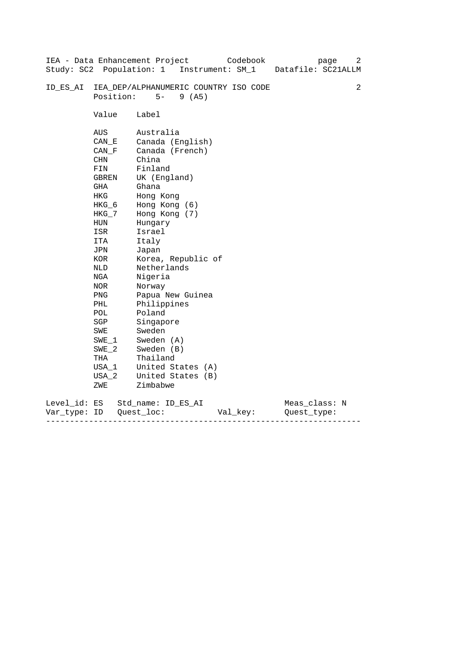|              |                            | IEA - Data Enhancement Project<br>Study: SC2 Population: 1 Instrument: SM_1 | Codebook | page<br>Datafile: SC21ALLM | 2 |  |  |  |
|--------------|----------------------------|-----------------------------------------------------------------------------|----------|----------------------------|---|--|--|--|
| ID ES AI     |                            | IEA_DEP/ALPHANUMERIC COUNTRY ISO CODE                                       |          |                            | 2 |  |  |  |
|              | Position:<br>$5-$<br>9(AB) |                                                                             |          |                            |   |  |  |  |
|              | Value                      | Label                                                                       |          |                            |   |  |  |  |
|              | AUS                        | Australia                                                                   |          |                            |   |  |  |  |
|              | CAN E                      | Canada (English)                                                            |          |                            |   |  |  |  |
|              | CAN F                      | Canada (French)                                                             |          |                            |   |  |  |  |
|              | CHN                        | China<br>Finland                                                            |          |                            |   |  |  |  |
|              | FIN                        |                                                                             |          |                            |   |  |  |  |
|              | GBREN                      | UK (England)                                                                |          |                            |   |  |  |  |
|              | GHA                        | Ghana                                                                       |          |                            |   |  |  |  |
|              | HKG                        | Hong Kong                                                                   |          |                            |   |  |  |  |
|              | $HKG_6$                    | Hong Kong (6)                                                               |          |                            |   |  |  |  |
|              | HKG_7                      | Hong Kong (7)                                                               |          |                            |   |  |  |  |
|              | HUN                        | Hungary                                                                     |          |                            |   |  |  |  |
|              | ISR                        | Israel                                                                      |          |                            |   |  |  |  |
|              | ITA                        | Italy                                                                       |          |                            |   |  |  |  |
|              | JPN                        | Japan                                                                       |          |                            |   |  |  |  |
|              | KOR                        | Korea, Republic of                                                          |          |                            |   |  |  |  |
|              | NLD                        | Netherlands                                                                 |          |                            |   |  |  |  |
|              | NGA                        | Nigeria                                                                     |          |                            |   |  |  |  |
|              | NOR                        | Norway                                                                      |          |                            |   |  |  |  |
|              | PNG                        | Papua New Guinea                                                            |          |                            |   |  |  |  |
|              | PHL                        | Philippines                                                                 |          |                            |   |  |  |  |
|              | POL                        | Poland                                                                      |          |                            |   |  |  |  |
|              | SGP                        | Singapore                                                                   |          |                            |   |  |  |  |
|              | SWE                        | Sweden                                                                      |          |                            |   |  |  |  |
|              | $SWE_1$                    | Sweden (A)                                                                  |          |                            |   |  |  |  |
|              | $SWE_2$                    | Sweden (B)                                                                  |          |                            |   |  |  |  |
|              | THA                        | Thailand                                                                    |          |                            |   |  |  |  |
|              | USA 1                      | United States (A)                                                           |          |                            |   |  |  |  |
|              | USA 2                      | United States (B)                                                           |          |                            |   |  |  |  |
|              | ZWE                        | Zimbabwe                                                                    |          |                            |   |  |  |  |
| Level_id: ES |                            | Std name: ID ES AI                                                          |          | Meas_class: N              |   |  |  |  |
| Var type:    | ID                         | Quest loc:<br>Val_key:                                                      |          | Ouest type:                |   |  |  |  |

------------------------------------------------------------------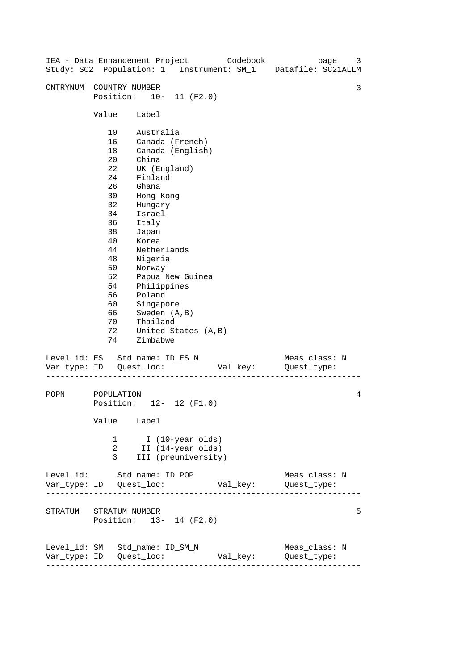|                                |                                                                                                                                       |                                                                                                                                                                                                                            |                                                         | IEA - Data Enhancement Project Codebook | Study: SC2 Population: 1 Instrument: SM_1 Datafile: SC21ALLM | 3<br>page |
|--------------------------------|---------------------------------------------------------------------------------------------------------------------------------------|----------------------------------------------------------------------------------------------------------------------------------------------------------------------------------------------------------------------------|---------------------------------------------------------|-----------------------------------------|--------------------------------------------------------------|-----------|
| CNTRYNUM                       | COUNTRY NUMBER<br>Position: 10- 11 (F2.0)                                                                                             |                                                                                                                                                                                                                            |                                                         |                                         |                                                              | 3         |
|                                | Value Label                                                                                                                           |                                                                                                                                                                                                                            |                                                         |                                         |                                                              |           |
|                                | 10<br>16<br>18<br>$20 \,$<br>22<br>24<br>26<br>30<br>32<br>34<br>36<br>38<br>40<br>44<br>48<br>50<br>52<br>54<br>56<br>60<br>66<br>70 | Australia<br>China<br>UK (England)<br>Finland<br>Ghana<br>Hong Kong<br>Hungary<br>Israel<br>Italy<br>Japan<br>Korea<br>Netherlands<br>Nigeria<br>Norway<br>Philippines<br>Poland<br>Singapore<br>Sweden (A, B)<br>Thailand | Canada (French)<br>Canada (English)<br>Papua New Guinea |                                         |                                                              |           |
|                                | 72<br>74                                                                                                                              | Zimbabwe                                                                                                                                                                                                                   | United States (A, B)                                    |                                         |                                                              |           |
| Level_id: ES Std_name: ID_ES_N |                                                                                                                                       |                                                                                                                                                                                                                            |                                                         | Val_key:                                | Meas_class: N<br>Quest_type:                                 |           |
| POPN                           | POPULATION<br>4<br>Position: 12- 12 (F1.0)<br>Value Label                                                                             |                                                                                                                                                                                                                            |                                                         |                                         |                                                              |           |
|                                | I (10-year olds)<br>1<br>2<br>II (14-year olds)<br>3<br>III (preuniversity)                                                           |                                                                                                                                                                                                                            |                                                         |                                         |                                                              |           |
| Level_id: Std_name: ID_POP     |                                                                                                                                       |                                                                                                                                                                                                                            |                                                         |                                         | Meas_class: N                                                |           |
|                                | STRATUM STRATUM NUMBER<br>Position: 13- 14 (F2.0)                                                                                     |                                                                                                                                                                                                                            |                                                         |                                         |                                                              | 5         |
| Level_id: SM Std_name: ID_SM_N | ---------------------                                                                                                                 |                                                                                                                                                                                                                            |                                                         | Val_key:                                | Meas_class: N<br>Quest_type:                                 |           |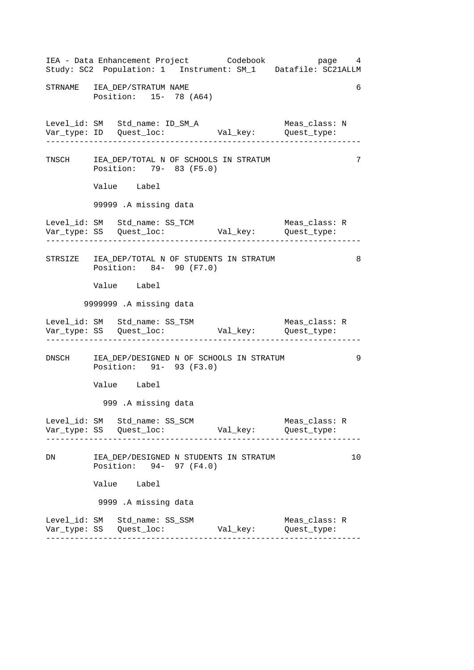------------------------------------------------------------------ ------------------------------------------------------------------ ------------------------------------------------------------------ ------------------------------------------------------------------ ------------------------------------------------------------------ IEA - Data Enhancement Project Codebook page 4 Study: SC2 Population: 1 Instrument: SM\_1 Datafile: SC21ALLM STRNAME IEA DEP/STRATUM NAME 6 Position: 15- 78 (A64) Level\_id: SM Std\_name: ID\_SM\_A Meas\_class: N Var\_type: ID Quest\_loc: Val\_key: Quest\_type: TNSCH IEA\_DEP/TOTAL N OF SCHOOLS IN STRATUM 7 Position: 79- 83 (F5.0) Value Label 99999 .A missing data Level\_id: SM Std\_name: SS\_TCM Meas\_class: R Var\_type: SS Quest\_loc: Val\_key: Quest\_type: STRSIZE IEA DEP/TOTAL N OF STUDENTS IN STRATUM 8 Position: 84- 90 (F7.0) Value Label 9999999 .A missing data Level\_id: SM Std\_name: SS\_TSM Meas\_class: R Var\_type: SS Quest\_loc: Val\_key: Quest\_type: DNSCH IEA\_DEP/DESIGNED N OF SCHOOLS IN STRATUM 9 Position: 91- 93 (F3.0) Value Label 999 .A missing data Level\_id: SM Std\_name: SS\_SCM Meas\_class: R Var\_type: SS Quest\_loc: Val\_key: Quest\_type: DN IEA\_DEP/DESIGNED N STUDENTS IN STRATUM 10 Position: 94- 97 (F4.0) Value Label 9999 .A missing data Level\_id: SM Std\_name: SS\_SSM Meas\_class: R Var\_type: SS Quest\_loc: Val\_key: Quest\_type: